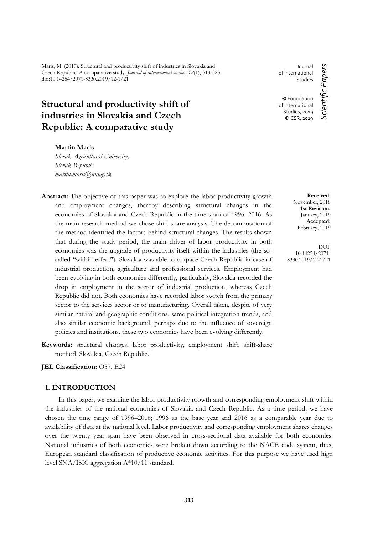Maris, M. (2019). Structural and productivity shift of industries in Slovakia and Czech Republic: A comparative study. *Journal of international studies, 12*(1), 313-323. doi:10.14254/2071-8330.2019/12-1/21

# **Structural and productivity shift of industries in Slovakia and Czech Republic: A comparative study**

## **Martin Maris**

*Slovak Agricultural University, Slovak Republic martin.maris@uniag.sk*

- **Abstract:** The objective of this paper was to explore the labor productivity growth and employment changes, thereby describing structural changes in the economies of Slovakia and Czech Republic in the time span of 1996–2016. As the main research method we chose shift-share analysis. The decomposition of the method identified the factors behind structural changes. The results shown that during the study period, the main driver of labor productivity in both economies was the upgrade of productivity itself within the industries (the socalled "within effect"). Slovakia was able to outpace Czech Republic in case of industrial production, agriculture and professional services. Employment had been evolving in both economies differently, particularly, Slovakia recorded the drop in employment in the sector of industrial production, whereas Czech Republic did not. Both economies have recorded labor switch from the primary sector to the services sector or to manufacturing. Overall taken, despite of very similar natural and geographic conditions, same political integration trends, and also similar economic background, perhaps due to the influence of sovereign policies and institutions, these two economies have been evolving differently.
- **Keywords:** structural changes, labor productivity, employment shift, shift-share method, Slovakia, Czech Republic.

**JEL Classification:** O57, E24

# **1. INTRODUCTION**

In this paper, we examine the labor productivity growth and corresponding employment shift within the industries of the national economies of Slovakia and Czech Republic. As a time period, we have chosen the time range of 1996–2016; 1996 as the base year and 2016 as a comparable year due to availability of data at the national level. Labor productivity and corresponding employment shares changes over the twenty year span have been observed in cross-sectional data available for both economies. National industries of both economies were broken down according to the NACE code system, thus, European standard classification of productive economic activities. For this purpose we have used high level SNA/ISIC aggregation A\*10/11 standard.

Journal Scientific Papers *Scientific Papers* of International Studies © Foundation of International Studies, 2019 © CSR, 2019

> **Received:** November, 2018 **1st Revision:** January, 2019 **Accepted:** February, 2019

DOI: 10.14254/2071- 8330.2019/12-1/21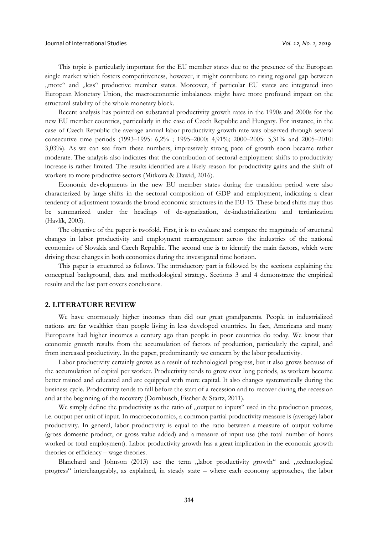This topic is particularly important for the EU member states due to the presence of the European single market which fosters competitiveness, however, it might contribute to rising regional gap between "more" and "less" productive member states. Moreover, if particular EU states are integrated into European Monetary Union, the macroeconomic imbalances might have more profound impact on the structural stability of the whole monetary block.

Recent analysis has pointed on substantial productivity growth rates in the 1990s and 2000s for the new EU member countries, particularly in the case of Czech Republic and Hungary. For instance, in the case of Czech Republic the average annual labor productivity growth rate was observed through several consecutive time periods (1993–1995: 6,2% ; 1995–2000: 4,91%; 2000–2005: 5,31% and 2005–2010: 3,03%). As we can see from these numbers, impressively strong pace of growth soon became rather moderate. The analysis also indicates that the contribution of sectoral employment shifts to productivity increase is rather limited. The results identified are a likely reason for productivity gains and the shift of workers to more productive sectors (Mitkova & Dawid, 2016).

Economic developments in the new EU member states during the transition period were also characterized by large shifts in the sectoral composition of GDP and employment, indicating a clear tendency of adjustment towards the broad economic structures in the EU-15. These broad shifts may thus be summarized under the headings of de-agrarization, de-industrialization and tertiarization (Havlík, 2005).

The objective of the paper is twofold. First, it is to evaluate and compare the magnitude of structural changes in labor productivity and employment rearrangement across the industries of the national economies of Slovakia and Czech Republic. The second one is to identify the main factors, which were driving these changes in both economies during the investigated time horizon.

This paper is structured as follows. The introductory part is followed by the sections explaining the conceptual background, data and methodological strategy. Sections 3 and 4 demonstrate the empirical results and the last part covers conclusions.

#### **2. LITERATURE REVIEW**

We have enormously higher incomes than did our great grandparents. People in industrialized nations are far wealthier than people living in less developed countries. In fact, Americans and many Europeans had higher incomes a century ago than people in poor countries do today. We know that economic growth results from the accumulation of factors of production, particularly the capital, and from increased productivity. In the paper, predominantly we concern by the labor productivity.

Labor productivity certainly grows as a result of technological progress, but it also grows because of the accumulation of capital per worker. Productivity tends to grow over long periods, as workers become better trained and educated and are equipped with more capital. It also changes systematically during the business cycle. Productivity tends to fall before the start of a recession and to recover during the recession and at the beginning of the recovery (Dornbusch, Fischer & Startz, 2011).

We simply define the productivity as the ratio of "output to inputs" used in the production process, i.e. output per unit of input. In macroeconomics, a common partial productivity measure is (average) labor productivity. In general, labor productivity is equal to the ratio between a measure of output volume (gross domestic product, or gross value added) and a measure of input use (the total number of hours worked or total employment). Labor productivity growth has a great implication in the economic growth theories or efficiency – wage theories.

Blanchard and Johnson  $(2013)$  use the term  $\mu$ labor productivity growth and  $\mu$ technological progress" interchangeably, as explained, in steady state – where each economy approaches, the labor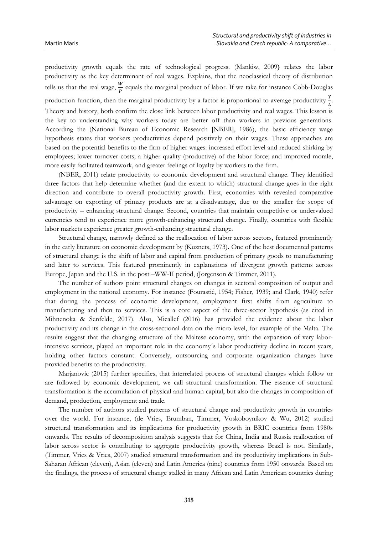productivity growth equals the rate of technological progress. (Mankiw, 2009**)** relates the labor productivity as the key determinant of real wages. Explains, that the neoclassical theory of distribution tells us that the real wage,  $\frac{W}{P}$  equals the marginal product of labor. If we take for instance Cobb-Douglas production function, then the marginal productivity by a factor is proportional to average productivity  $\frac{Y}{L}$ . Theory and history, both confirm the close link between labor productivity and real wages. This lesson is the key to understanding why workers today are better off than workers in previous generations. According the (National Bureau of Economic Research [NBER], 1986), the basic efficiency wage hypothesis states that workers productivities depend positively on their wages. These approaches are based on the potential benefits to the firm of higher wages: increased effort level and reduced shirking by employees; lower turnover costs; a higher quality (productive) of the labor force; and improved morale, more easily facilitated teamwork, and greater feelings of loyalty by workers to the firm.

(NBER, 2011) relate productivity to economic development and structural change. They identified three factors that help determine whether (and the extent to which) structural change goes in the right direction and contribute to overall productivity growth. First, economies with revealed comparative advantage on exporting of primary products are at a disadvantage, due to the smaller the scope of productivity – enhancing structural change. Second, countries that maintain competitive or undervalued currencies tend to experience more growth-enhancing structural change. Finally, countries with flexible labor markets experience greater growth-enhancing structural change.

Structural change, narrowly defined as the reallocation of labor across sectors, featured prominently in the early literature on economic development by (Kuznets, 1973)**.** One of the best documented patterns of structural change is the shift of labor and capital from production of primary goods to manufacturing and later to services. This featured prominently in explanations of divergent growth patterns across Europe, Japan and the U.S. in the post –WW-II period, (Jorgenson & Timmer, 2011).

The number of authors point structural changes on changes in sectoral composition of output and employment in the national economy. For instance (Fourastié, 1954; Fisher, 1939; and Clark, 1940) refer that during the process of economic development, employment first shifts from agriculture to manufacturing and then to services. This is a core aspect of the three-sector hypothesis (as cited in Mihnenoka & Senfelde, 2017). Also, Micallef (2016) has provided the evidence about the labor productivity and its change in the cross-sectional data on the micro level, for example of the Malta. The results suggest that the changing structure of the Maltese economy, with the expansion of very laborintensive services, played an important role in the economy´s labor productivity decline in recent years, holding other factors constant. Conversely, outsourcing and corporate organization changes have provided benefits to the productivity.

Marjanovic (2015) further specifies, that interrelated process of structural changes which follow or are followed by economic development, we call structural transformation. The essence of structural transformation is the accumulation of physical and human capital, but also the changes in composition of demand, production, employment and trade.

The number of authors studied patterns of structural change and productivity growth in countries over the world. For instance, (de Vries, Erumban, Timmer, Voskoboynikov & Wu, 2012) studied structural transformation and its implications for productivity growth in BRIC countries from 1980s onwards. The results of decomposition analysis suggests that for China, India and Russia reallocation of labor across sector is contributing to aggregate productivity growth, whereas Brazil is not**.** Similarly, (Timmer, Vries & Vries, 2007) studied structural transformation and its productivity implications in Sub-Saharan African (eleven), Asian (eleven) and Latin America (nine) countries from 1950 onwards. Based on the findings, the process of structural change stalled in many African and Latin American countries during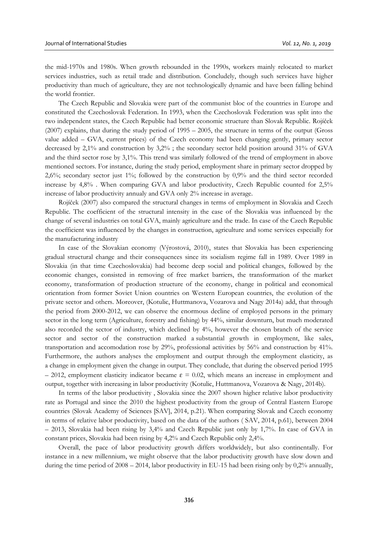the mid-1970s and 1980s. When growth rebounded in the 1990s, workers mainly relocated to market services industries, such as retail trade and distribution. Concludely, though such services have higher productivity than much of agriculture, they are not technologically dynamic and have been falling behind the world frontier.

The Czech Republic and Slovakia were part of the communist bloc of the countries in Europe and constituted the Czechoslovak Federation. In 1993, when the Czechoslovak Federation was split into the two independent states, the Czech Republic had better economic structure than Slovak Republic. Rojíček (2007) explains, that during the study period of 1995 – 2005, the structure in terms of the output (Gross value added – GVA, current prices) of the Czech economy had been changing gently, primary sector decreased by 2,1% and construction by 3,2% ; the secondary sector held position around 31% of GVA and the third sector rose by 3,1%. This trend was similarly followed of the trend of employment in above mentioned sectors. For instance, during the study period, employment share in primary sector dropped by 2,6%; secondary sector just 1%; followed by the construction by 0,9% and the third sector recorded increase by 4,8% . When comparing GVA and labor productivity, Czech Republic counted for 2,5% increase of labor productivity annualy and GVA only 2% increase in average.

Rojíček (2007) also compared the structural changes in terms of employment in Slovakia and Czech Republic. The coefficient of the structural intensity in the case of the Slovakia was influenced by the change of several industries on total GVA, mainly agriculture and the trade. In case of the Czech Republic the coefficient was influenced by the changes in construction, agriculture and some services especially for the manufacturing industry

In case of the Slovakian economy (Výrostová, 2010), states that Slovakia has been experiencing gradual structural change and their consequences since its socialism regime fall in 1989. Over 1989 in Slovakia (in that time Czechoslovakia) had become deep social and political changes, followed by the economic changes, consisted in removing of free market barriers, the transformation of the market economy, transformation of production structure of the economy, change in political and economical orientation from former Soviet Union countries on Western European countries, the evolution of the private sector and others. Moreover, (Kotulic, Huttmanova, Vozarova and Nagy 2014a) add, that through the period from 2000-2012, we can observe the enormous decline of employed persons in the primary sector in the long term (Agriculture, forestry and fishing) by 44%, similar downturn, but much moderated also recorded the sector of industry, which declined by 4%, however the chosen branch of the service sector and sector of the construction marked a substantial growth in employment, like sales, transportation and accomodation rose by 29%, professional activities by 56% and construction by 41%. Furthermore, the authors analyses the employment and output through the employment elasticity, as a change in employment given the change in output. They conclude, that during the observed period 1995 – 2012, employment elasticity indicator became  $\varepsilon = 0.02$ , which means an increase in employment and output, together with increasing in labor productivity (Kotulic, Huttmanova, Vozarova & Nagy, 2014b).

In terms of the labor productivity , Slovakia since the 2007 shown higher relative labor productivity rate as Portugal and since the 2010 the highest productivity from the group of Central Eastern Europe countries (Slovak Academy of Sciences [SAV], 2014, p.21). When comparing Slovak and Czech economy in terms of relative labor productivity, based on the data of the authors ( SAV, 2014, p.61), between 2004 – 2013, Slovakia had been rising by 3,4% and Czech Republic just only by 1,7%. In case of GVA in constant prices, Slovakia had been rising by 4,2% and Czech Republic only 2,4%.

Overall, the pace of labor productivity growth differs worldwidely, but also continentally. For instance in a new millennium, we might observe that the labor productivity growth have slow down and during the time period of  $2008 - 2014$ , labor productivity in EU-15 had been rising only by  $0.2\%$  annually,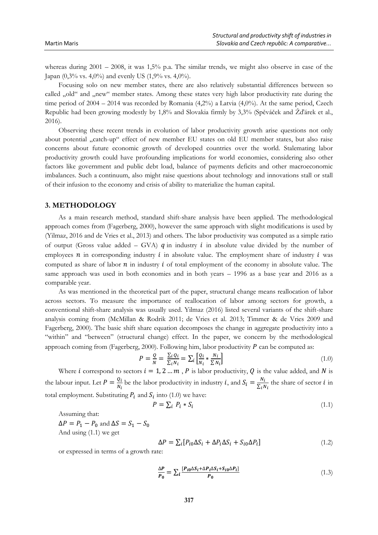whereas during  $2001 - 2008$ , it was  $1,5\%$  p.a. The similar trends, we might also observe in case of the Japan (0,3% vs. 4,0%) and evenly US (1,9% vs. 4,0%).

Focusing solo on new member states, there are also relatively substantial differences between so called "old" and "new" member states. Among these states very high labor productivity rate during the time period of  $2004 - 2014$  was recorded by Romania  $(4,2\%)$  a Latvia  $(4,0\%)$ . At the same period, Czech Republic had been growing modestly by 1,8% and Slovakia firmly by 3,3% (Spěváček and Žďárek et al., 2016).

Observing these recent trends in evolution of labor productivity growth arise questions not only about potential "catch-up" effect of new member EU states on old EU member states, but also raise concerns about future economic growth of developed countries over the world. Stalemating labor productivity growth could have profounding implications for world economies, considering also other factors like government and public debt load, balance of payments deficits and other macroeconomic imbalances. Such a continuum, also might raise questions about technology and innovations stall or stall of their infusion to the economy and crisis of ability to materialize the human capital.

# **3. METHODOLOGY**

As a main research method, standard shift-share analysis have been applied. The methodological approach comes from (Fagerberg, 2000), however the same approach with slight modifications is used by (Yilmaz, 2016 and de Vries et al., 2013) and others. The labor productivity was computed as a simple ratio of output (Gross value added – GVA)  $q$  in industry  $i$  in absolute value divided by the number of employees  $n$  in corresponding industry  $i$  in absolute value. The employment share of industry  $i$  was computed as share of labor  $n$  in industry  $i$  of total employment of the economy in absolute value. The same approach was used in both economies and in both years – 1996 as a base year and 2016 as a comparable year.

As was mentioned in the theoretical part of the paper, structural change means reallocation of labor across sectors. To measure the importance of reallocation of labor among sectors for growth, a conventional shift-share analysis was usually used. Yilmaz (2016) listed several variants of the shift-share analysis coming from (McMillan & Rodrik 2011; de Vries et al. 2013; Timmer & de Vries 2009 and Fagerberg, 2000). The basic shift share equation decomposes the change in aggregate productivity into a "within" and "between" (structural change) effect. In the paper, we concern by the methodological approach coming from (Fagerberg, 2000). Following him, labor productivity  $P$  can be computed as:

$$
P = \frac{Q}{N} = \frac{\sum_{i} Q_{i}}{\sum_{i} N_{i}} = \sum_{i} \left[ \frac{Q_{i}}{N_{i}} * \frac{N_{i}}{\sum N_{i}} \right]
$$
(1.0)

Where *i* correspond to sectors  $i = 1, 2, ..., m$ , *P* is labor productivity, *Q* is the value added, and *N* is the labour input. Let  $P = \frac{Q_i}{N}$  $\frac{Q_i}{N_i}$  be the labor productivity in industry *i*, and  $S_i = \frac{N_i}{\sum_i r_i}$  $\frac{N_l}{\sum_i N_i}$  the share of sector *i* in total employment. Substituting  $P_i$  and  $S_i$  into (1.0) we have:

$$
P = \sum_{i} P_i * S_i \tag{1.1}
$$

Assuming that:

 $\Delta P = P_1 - P_0$  and  $\Delta S = S_1 - S_0$ And using (1.1) we get

$$
\Delta P = \sum_{i} [P_{i0} \Delta S_i + \Delta P_i \Delta S_i + S_{i0} \Delta P_i]
$$
\n(1.2)

or expressed in terms of a growth rate:

$$
\frac{\Delta P}{P_0} = \sum_{i} \frac{[P_{i0} \Delta S_i + \Delta P_i \Delta S_i + S_{i0} \Delta P_i]}{P_0} \tag{1.3}
$$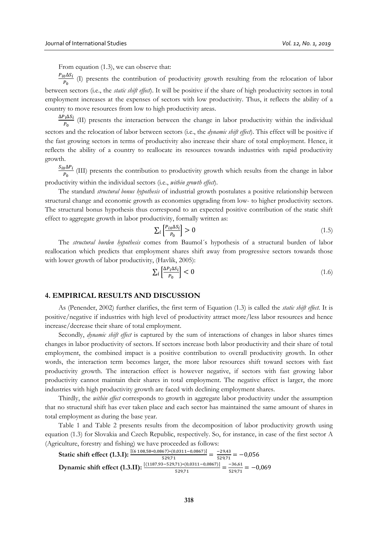From equation (1.3), we can observe that:

 $P_{i0}\Delta S_i$  $\frac{0.035}{P_0}$  (I) presents the contribution of productivity growth resulting from the relocation of labor between sectors (i.e., the *static shift effect*). It will be positive if the share of high productivity sectors in total employment increases at the expenses of sectors with low productivity. Thus, it reflects the ability of a country to move resources from low to high productivity areas.

 $\Delta P_i \Delta S_i$  $\frac{1}{P_0}$  (II) presents the interaction between the change in labor productivity within the individual sectors and the relocation of labor between sectors (i.e., the *dynamic shift effect*). This effect will be positive if the fast growing sectors in terms of productivity also increase their share of total employment. Hence, it reflects the ability of a country to reallocate its resources towards industries with rapid productivity growth.

 $S_{i0}\Delta P_i$  $\frac{\partial \Delta F_t}{P_0}$  (III) presents the contribution to productivity growth which results from the change in labor productivity within the individual sectors (i.e., *within growth effect*).

The standard *structural bonus hypothesis* of industrial growth postulates a positive relationship between structural change and economic growth as economies upgrading from low- to higher productivity sectors. The structural bonus hypothesis thus correspond to an expected positive contribution of the static shift effect to aggregate growth in labor productivity, formally written as:

$$
\sum_{i} \left[ \frac{P_{io} \Delta S_i}{P_0} \right] > 0 \tag{1.5}
$$

The *structural burden hypothesis* comes from Baumol´s hypothesis of a structural burden of labor reallocation which predicts that employment shares shift away from progressive sectors towards those with lower growth of labor productivity, (Havlik, 2005):

$$
\sum_{i} \left[ \frac{\Delta P_i \Delta S_i}{P_0} \right] < 0 \tag{1.6}
$$

## **4. EMPIRICAL RESULTS AND DISCUSSION**

As (Penender, 2002) further clarifies, the first term of Equation (1.3) is called the *static shift effect.* It is positive/negative if industries with high level of productivity attract more/less labor resources and hence increase/decrease their share of total employment.

Secondly, *dynamic shift effect* is captured by the sum of interactions of changes in labor shares times changes in labor productivity of sectors. If sectors increase both labor productivity and their share of total employment, the combined impact is a positive contribution to overall productivity growth. In other words, the interaction term becomes larger, the more labor resources shift toward sectors with fast productivity growth. The interaction effect is however negative, if sectors with fast growing labor productivity cannot maintain their shares in total employment. The negative effect is larger, the more industries with high productivity growth are faced with declining employment shares.

Thirdly, the *within effect* corresponds to growth in aggregate labor productivity under the assumption that no structural shift has ever taken place and each sector has maintained the same amount of shares in total employment as during the base year.

Table 1 and Table 2 presents results from the decomposition of labor productivity growth using equation (1.3) for Slovakia and Czech Republic, respectively. So, for instance, in case of the first sector A (Agriculture, forestry and fishing) we have proceeded as follows:

Static shift effect (1.3.I):

\n
$$
\frac{[(6\ 108,58*0,0867)*(0,0311-0,0867)]}{529,71} = \frac{-29,43}{529,71} = -0,056
$$
\nDynamic shift effect (1.3.II):

\n
$$
\frac{[(1187,93-529,71)*(0,0311-0,0867)]}{529,71} = \frac{-36,61}{529,71} = -0,069
$$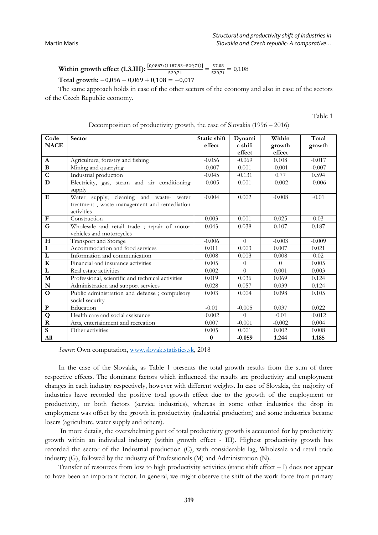#### **Within growth effect (1.3.III):**  $\frac{[0,0867*(1187,93-529,71)]}{529,71} = \frac{57,08}{529,71}$  $\frac{37,08}{529,71} = 0,108$ **Total growth:** −0,056 − 0,069 + 0,108 = −0,017

The same approach holds in case of the other sectors of the economy and also in case of the sectors of the Czech Republic economy.

Table 1

| Code<br><b>NACE</b>     | Sector                                                                                               | Static shift<br>effect | Dynami<br>c shift<br>effect | Within<br>growth<br>effect | Total<br>growth |
|-------------------------|------------------------------------------------------------------------------------------------------|------------------------|-----------------------------|----------------------------|-----------------|
| $\mathbf{A}$            | Agriculture, forestry and fishing                                                                    | $-0.056$               | $-0.069$                    | 0.108                      | $-0.017$        |
| $\, {\bf B}$            | Mining and quarrying                                                                                 | $-0.007$               | 0.001                       | $-0.001$                   | $-0.007$        |
| $\overline{c}$          | Industrial production                                                                                | $-0.045$               | $-0.131$                    | 0.77                       | 0.594           |
| D                       | Electricity, gas, steam and air conditioning                                                         | $-0.005$               | 0.001                       | $-0.002$                   | $-0.006$        |
|                         | supply                                                                                               |                        |                             |                            |                 |
| E                       | Water supply; cleaning and waste- water<br>treatment, waste management and remediation<br>activities | $-0.004$               | 0.002                       | $-0.008$                   | $-0.01$         |
| $\mathbf F$             | Construction                                                                                         | 0.003                  | 0.001                       | 0.025                      | 0.03            |
| G                       | Wholesale and retail trade; repair of motor                                                          | 0.043                  | 0.038                       | 0.107                      | 0.187           |
|                         | vehicles and motorcycles                                                                             |                        |                             |                            |                 |
| $\mathbf H$             | Transport and Storage                                                                                | $-0.006$               | $\Omega$                    | $-0.003$                   | $-0.009$        |
| $\mathbf I$             | Accommodation and food services                                                                      | 0.011                  | 0.003                       | 0.007                      | 0.021           |
| $\overline{\text{L}}$   | Information and communication                                                                        | 0.008                  | 0.003                       | 0.008                      | 0.02            |
| $\mathbf K$             | Financial and insurance activities                                                                   | 0.005                  | $\Omega$                    | $\Omega$                   | 0.005           |
| L                       | Real estate activities                                                                               | 0.002                  | $\Omega$                    | 0.001                      | 0.003           |
| $\mathbf M$             | Professional, scientific and technical activities                                                    | 0.019                  | 0.036                       | 0.069                      | 0.124           |
| ${\bf N}$               | Administration and support services                                                                  | 0.028                  | 0.057                       | 0.039                      | 0.124           |
| $\Omega$                | Public administration and defense; compulsory                                                        | 0.003                  | 0.004                       | 0.098                      | 0.105           |
|                         | social security                                                                                      |                        |                             |                            |                 |
| ${\bf P}$               | Education                                                                                            | $-0.01$                | $-0.005$                    | 0.037                      | 0.022           |
| Q                       | Health care and social assistance                                                                    | $-0.002$               | $\Omega$                    | $-0.01$                    | $-0.012$        |
| $\overline{\mathbf{R}}$ | Arts, entertainment and recreation                                                                   | 0.007                  | $-0.001$                    | $-0.002$                   | 0.004           |
| ${\bf S}$               | Other activities                                                                                     | 0.005                  | 0.001                       | 0.002                      | 0.008           |
| A11                     |                                                                                                      | $\bf{0}$               | $-0.059$                    | 1.244                      | 1.185           |

| Decomposition of productivity growth, the case of Slovakia (1996 - 2016) |  |  |  |  |  |
|--------------------------------------------------------------------------|--|--|--|--|--|
|--------------------------------------------------------------------------|--|--|--|--|--|

*Source*: Own computation, [www.slovak.statistics.sk,](http://www.slovak.statistics.sk/) 2018

In the case of the Slovakia, as Table 1 presents the total growth results from the sum of three respective effects. The dominant factors which influenced the results are productivity and employment changes in each industry respectively, however with different weights. In case of Slovakia, the majority of industries have recorded the positive total growth effect due to the growth of the employment or productivity, or both factors (service industries), whereas in some other industries the drop in employment was offset by the growth in productivity (industrial production) and some industries became losers (agriculture, water supply and others).

In more details, the overwhelming part of total productivity growth is accounted for by productivity growth within an individual industry (within growth effect - III). Highest productivity growth has recorded the sector of the Industrial production (C), with considerable lag, Wholesale and retail trade industry (G), followed by the industry of Professionals (M) and Administration (N).

Transfer of resources from low to high productivity activities (static shift effect – I) does not appear to have been an important factor. In general, we might observe the shift of the work force from primary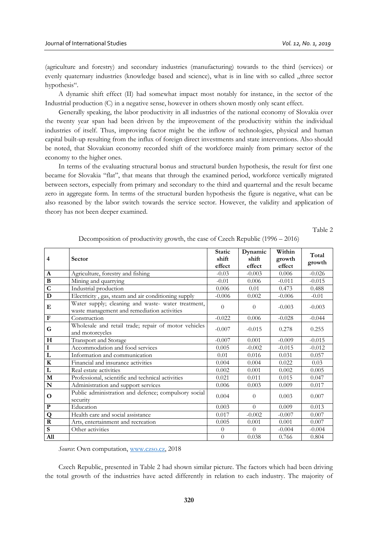(agriculture and forestry) and secondary industries (manufacturing) towards to the third (services) or evenly quaternary industries (knowledge based and science), what is in line with so called "three sector hypothesis".

A dynamic shift effect (II) had somewhat impact most notably for instance, in the sector of the Industrial production (C) in a negative sense, however in others shown mostly only scant effect.

Generally speaking, the labor productivity in all industries of the national economy of Slovakia over the twenty year span had been driven by the improvement of the productivity within the individual industries of itself. Thus, improving factor might be the inflow of technologies, physical and human capital built-up resulting from the influx of foreign direct investments and state interventions. Also should be noted, that Slovakian economy recorded shift of the workforce mainly from primary sector of the economy to the higher ones.

In terms of the evaluating structural bonus and structural burden hypothesis, the result for first one became for Slovakia "flat", that means that through the examined period, workforce vertically migrated between sectors, especially from primary and secondary to the third and quarternal and the result became zero in aggregate form. In terms of the structural burden hypothesis the figure is negative, what can be also reasoned by the labor switch towards the service sector. However, the validity and application of theory has not been deeper examined.

Table 2

| 4                       | <b>Sector</b>                                                                                     | <b>Static</b><br>shift<br>effect | Dynamic<br>shift<br>effect | Within<br>growth<br>effect | Total<br>growth |
|-------------------------|---------------------------------------------------------------------------------------------------|----------------------------------|----------------------------|----------------------------|-----------------|
| A                       | Agriculture, forestry and fishing                                                                 | $-0.03$                          | $-0.003$                   | 0.006                      | $-0.026$        |
| $\, {\bf B}$            | Mining and quarrying                                                                              | $-0.01$                          | 0.006                      | $-0.011$                   | $-0.015$        |
| $\overline{\mathsf{C}}$ | Industrial production                                                                             | 0.006                            | 0.01                       | 0.473                      | 0.488           |
| D                       | Electricity, gas, steam and air conditioning supply                                               | $-0.006$                         | 0.002                      | $-0.006$                   | $-0.01$         |
| Е                       | Water supply; cleaning and waste- water treatment,<br>waste management and remediation activities | $\theta$                         | $\theta$                   | $-0.003$                   | $-0.003$        |
| ${\bf F}$               | Construction                                                                                      | $-0.022$                         | 0.006                      | $-0.028$                   | $-0.044$        |
| G                       | Wholesale and retail trade; repair of motor vehicles<br>and motorcycles                           | $-0.007$                         | $-0.015$                   | 0.278                      | 0.255           |
| H                       | Transport and Storage                                                                             | $-0.007$                         | 0.001                      | $-0.009$                   | $-0.015$        |
| $\mathbf I$             | Accommodation and food services                                                                   | 0.005                            | $-0.002$                   | $-0.015$                   | $-0.012$        |
| $\overline{\mathbf{L}}$ | Information and communication                                                                     | 0.01                             | 0.016                      | 0.031                      | 0.057           |
| $\bf K$                 | Financial and insurance activities                                                                | 0.004                            | 0.004                      | 0.022                      | 0.03            |
| L                       | Real estate activities                                                                            | 0.002                            | 0.001                      | 0.002                      | 0.005           |
| $\overline{\mathbf{M}}$ | Professional, scientific and technical activities                                                 | 0.021                            | 0.011                      | 0.015                      | 0.047           |
| N                       | Administration and support services                                                               | 0.006                            | 0.003                      | 0.009                      | 0.017           |
| O                       | Public administration and defence; compulsory social<br>security                                  | 0.004                            | $\Omega$                   | 0.003                      | 0.007           |
| ${\bf P}$               | Education                                                                                         | 0.003                            | $\Omega$                   | 0.009                      | 0.013           |
| Q                       | Health care and social assistance                                                                 | 0.017                            | $-0.002$                   | $-0.007$                   | 0.007           |
| $\overline{\mathbf{R}}$ | Arts, entertainment and recreation                                                                | 0.005                            | 0.001                      | 0.001                      | 0.007           |
| $\mathbf S$             | Other activities                                                                                  | $\theta$                         | $\Omega$                   | $-0.004$                   | $-0.004$        |
| A11                     |                                                                                                   | $\boldsymbol{0}$                 | 0.038                      | 0.766                      | 0.804           |

Decomposition of productivity growth, the case of Czech Republic (1996 – 2016)

*Source*: Own computation, [www.czso.cz,](http://www.czso.cz/) 2018

Czech Republic, presented in Table 2 had shown similar picture. The factors which had been driving the total growth of the industries have acted differently in relation to each industry. The majority of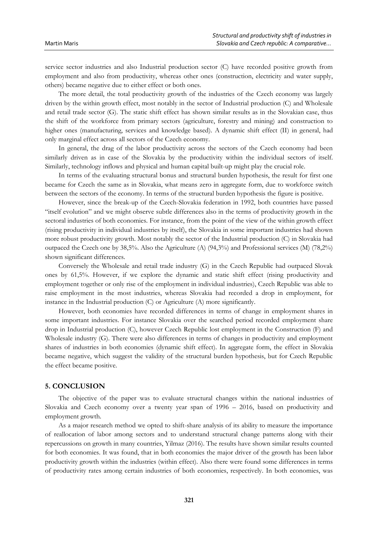service sector industries and also Industrial production sector (C) have recorded positive growth from employment and also from productivity, whereas other ones (construction, electricity and water supply, others) became negative due to either effect or both ones.

The more detail, the total productivity growth of the industries of the Czech economy was largely driven by the within growth effect, most notably in the sector of Industrial production (C) and Wholesale and retail trade sector (G). The static shift effect has shown similar results as in the Slovakian case, thus the shift of the workforce from primary sectors (agriculture, forestry and mining) and construction to higher ones (manufacturing, services and knowledge based). A dynamic shift effect (II) in general, had only marginal effect across all sectors of the Czech economy.

In general, the drag of the labor productivity across the sectors of the Czech economy had been similarly driven as in case of the Slovakia by the productivity within the individual sectors of itself. Similarly, technology inflows and physical and human capital built-up might play the crucial role.

In terms of the evaluating structural bonus and structural burden hypothesis, the result for first one became for Czech the same as in Slovakia, what means zero in aggregate form, due to workforce switch between the sectors of the economy. In terms of the structural burden hypothesis the figure is positive.

However, since the break-up of the Czech-Slovakia federation in 1992, both countries have passed "itself evolution" and we might observe subtle differences also in the terms of productivity growth in the sectoral industries of both economies. For instance, from the point of the view of the within growth effect (rising productivity in individual industries by itself), the Slovakia in some important industries had shown more robust productivity growth. Most notably the sector of the Industrial production (C) in Slovakia had outpaced the Czech one by 38,5%. Also the Agriculture (A) (94,3%) and Professional services (M) (78,2%) shown significant differences.

Conversely the Wholesale and retail trade industry (G) in the Czech Republic had outpaced Slovak ones by 61,5%. However, if we explore the dynamic and static shift effect (rising productivity and employment together or only rise of the employment in individual industries), Czech Republic was able to raise employment in the most industries, whereas Slovakia had recorded a drop in employment, for instance in the Industrial production (C) or Agriculture (A) more significantly.

However, both economies have recorded differences in terms of change in employment shares in some important industries. For instance Slovakia over the searched period recorded employment share drop in Industrial production (C), however Czech Republic lost employment in the Construction (F) and Wholesale industry (G). There were also differences in terms of changes in productivity and employment shares of industries in both economies (dynamic shift effect). In aggregate form, the effect in Slovakia became negative, which suggest the validity of the structural burden hypothesis, but for Czech Republic the effect became positive.

# **5. CONCLUSION**

The objective of the paper was to evaluate structural changes within the national industries of Slovakia and Czech economy over a twenty year span of 1996 – 2016, based on productivity and employment growth.

As a major research method we opted to shift-share analysis of its ability to measure the importance of reallocation of labor among sectors and to understand structural change patterns along with their repercussions on growth in many countries, Yilmaz (2016). The results have shown similar results counted for both economies. It was found, that in both economies the major driver of the growth has been labor productivity growth within the industries (within effect). Also there were found some differences in terms of productivity rates among certain industries of both economies, respectively. In both economies, was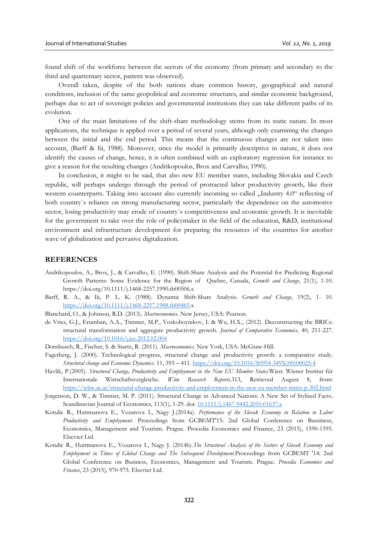found shift of the workforce between the sectors of the economy (from primary and secondary to the third and quarternary sector, pattern was observed).

Overall taken, despite of the both nations share common history, geographical and natural conditions, inclusion of the same geopolitical and economic structures, and similar economic background, perhaps due to act of sovereign policies and governmental institutions they can take different paths of its evolution.

One of the main limitations of the shift-share methodology stems from its static nature. In most applications, the technique is applied over a period of several years, although only examining the changes between the initial and the end period. This means that the continuous changes are not taken into account, (Barff & Iii, 1988). Moreover, since the model is primarily descriptive in nature, it does not identify the causes of change, hence, it is often combined with an exploratory regression for instance to give a reason for the resulting changes (Andrikopoulos, Brox and Carvalho; 1990).

In conclusion, it might to be said, that also new EU member states, including Slovakia and Czech republic, will perhaps undergo through the period of protracted labor productivity growth, like their western counterparts. Taking into account also currently incoming so called "Industry 4.0" reflecting of both country´s reliance on strong manufacturing sector, particularly the dependence on the automotive sector, losing productivity may erode of country's competitiveness and economic growth. It is inevitable for the government to take over the role of policymaker in the field of the education, R&D, institutional environment and infrastructure development for preparing the resources of the countries for another wave of globalization and pervasive digitalization.

#### **REFERENCES**

- Andrikopoulos, A., Brox, J., & Carvalho, E. (1990). Shift-Share Analysis and the Potential for Predicting Regional Growth Patterns: Some Evidence for the Region of Quebec, Canada, *Growth and Change*, 21(1), 1-10. https://doi.org/10.1111/j.1468-2257.1990.tb00506.x
- Barff, R. A., & Iii, P. L. K. (1988). Dynamic Shift-Share Analysis. *Growth and Change*, 19(2), 1- 10. <https://doi.org/10.1111/j.1468-2257.1988.tb00465.x>
- Blanchard, O., & Johnson, R.D. (2013). *Macroeconomics.* New Jersey, USA: Pearson.
- de Vries, G.J., Erumban, A.A., Timmer, M.P., Voskoboynikov, I. & Wu, H.X., (2012). Deconstructing the BRICs: structural transformation and aggregate productivity growth. *Journal of Comparative Economics,* 40, 211-227. <https://doi.org/10.1016/j.jce.2012.02.004>
- Dornbusch, R., Fischer, S. & Startz, R. (2011). *Macroeconomics*. New York, USA: McGraw-Hill.
- Fagerberg, J. (2000). Technological progress, structural change and productivity growth: a comparative study. *Structural change and Economic Dynamics.* 11, 393 – 411[. https://doi.org/10.1016/S0954-349X\(00\)00025-4](https://doi.org/10.1016/S0954-349X(00)00025-4)
- Havlik, P.(2005). *Structural Change, Productivity and Employment in the New EU Member States.*Wien: Wiener Institut für Internationale Wirtschaftsvergleiche. *Wiiw Research Reports*,313, Retrieved August 8, <https://wiiw.ac.at/structural-change-productivity-and-employment-in-the-new-eu-member-states-p-302.html>
- Jorgenson, D. W., & Timmer, M. P. (2011). Structural Change in Advanced Nations: A New Set of Stylised Facts**.**  Scandinavian Journal of Economics, 113(1), 1-29. doi[: 10.1111/j.1467-9442.2010.01637.x](https://doi.org/10.1111/j.1467-9442.2010.01637.x)
- Kotulic R., Huttmanova E., Vozarova I., Nagy J.(2014a). *Performance of the Slovak Economy in Relation to Labor Productivity and Employment*. Proceedings from GCBEMT'15: 2nd Global Conference on Bussiness, Economics, Management and Tourism. Prague. Procedia Economics and Finance, 23 (2015), 1590-1595. Elsevier Ltd.
- Kotulic R., Huttmanova E., Vozarova I., Nagy J. (2014b).*The Structural Analysis of the Sectors of Slovak Economy and Employment in Times of Global Change and The Subsequent Development*.Proceedings from GCBEMT '14: 2nd Global Conference on Business, Economics, Management and Tourism. Prague. *Procedia Economics and Finance*, 23 (2015), 970-975. Elsevier Ltd.